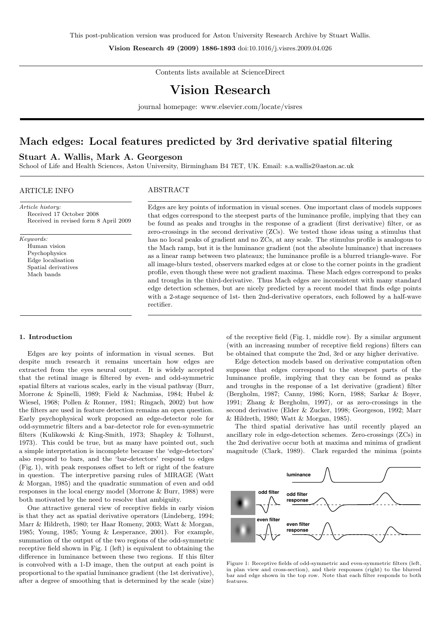Vision Research 49 (2009) 1886-1893 doi:10.1016/j.visres.2009.04.026

Contents lists available at ScienceDirect

# Vision Research

journal homepage: www.elsevier.com/locate/visres

# Mach edges: Local features predicted by 3rd derivative spatial filtering

# Stuart A. Wallis, Mark A. Georgeson

School of Life and Health Sciences, Aston University, Birmingham B4 7ET, UK. Email: s.a.wallis2@aston.ac.uk

# ARTICLE INFO

# ABSTRACT

Article history: Received 17 October 2008 Received in revised form 8 April 2009

Keywords: Human vision Psychophysics Edge localisation

> Spatial derivatives Mach bands

Edges are key points of information in visual scenes. One important class of models supposes that edges correspond to the steepest parts of the luminance profile, implying that they can be found as peaks and troughs in the response of a gradient (first derivative) filter, or as zero-crossings in the second derivative (ZCs). We tested those ideas using a stimulus that has no local peaks of gradient and no ZCs, at any scale. The stimulus profile is analogous to the Mach ramp, but it is the luminance gradient (not the absolute luminance) that increases as a linear ramp between two plateaux; the luminance profile is a blurred triangle-wave. For all image-blurs tested, observers marked edges at or close to the corner points in the gradient profile, even though these were not gradient maxima. These Mach edges correspond to peaks and troughs in the third-derivative. Thus Mach edges are inconsistent with many standard edge detection schemes, but are nicely predicted by a recent model that finds edge points with a 2-stage sequence of 1st- then 2nd-derivative operators, each followed by a half-wave rectifier.

# 1. Introduction

Edges are key points of information in visual scenes. But despite much research it remains uncertain how edges are extracted from the eyes neural output. It is widely accepted that the retinal image is filtered by even- and odd-symmetric spatial filters at various scales, early in the visual pathway (Burr, Morrone & Spinelli, 1989; Field & Nachmias, 1984; Hubel & Wiesel, 1968; Pollen & Ronner, 1981; Ringach, 2002) but how the filters are used in feature detection remains an open question. Early psychophysical work proposed an edge-detector role for odd-symmetric filters and a bar-detector role for even-symmetric filters (Kulikowski & King-Smith, 1973; Shapley & Tolhurst, 1973). This could be true, but as many have pointed out, such a simple interpretation is incomplete because the 'edge-detectors' also respond to bars, and the 'bar-detectors' respond to edges (Fig. 1), with peak responses offset to left or right of the feature in question. The interpretive parsing rules of MIRAGE (Watt & Morgan, 1985) and the quadratic summation of even and odd responses in the local energy model (Morrone & Burr, 1988) were both motivated by the need to resolve that ambiguity.

One attractive general view of receptive fields in early vision is that they act as spatial derivative operators (Lindeberg, 1994; Marr & Hildreth, 1980; ter Haar Romeny, 2003; Watt & Morgan, 1985; Young, 1985; Young & Lesperance, 2001). For example, summation of the output of the two regions of the odd-symmetric receptive field shown in Fig. 1 (left) is equivalent to obtaining the difference in luminance between these two regions. If this filter is convolved with a 1-D image, then the output at each point is proportional to the spatial luminance gradient (the 1st derivative), after a degree of smoothing that is determined by the scale (size)

of the receptive field (Fig. 1, middle row). By a similar argument (with an increasing number of receptive field regions) filters can be obtained that compute the 2nd, 3rd or any higher derivative.

Edge detection models based on derivative computation often suppose that edges correspond to the steepest parts of the luminance profile, implying that they can be found as peaks and troughs in the response of a 1st derivative (gradient) filter (Bergholm, 1987; Canny, 1986; Korn, 1988; Sarkar & Boyer, 1991; Zhang & Bergholm, 1997), or as zero-crossings in the second derivative (Elder & Zucker, 1998; Georgeson, 1992; Marr & Hildreth, 1980; Watt & Morgan, 1985).

The third spatial derivative has until recently played an ancillary role in edge-detection schemes. Zero-crossings (ZCs) in the 2nd derivative occur both at maxima and minima of gradient magnitude (Clark, 1989). Clark regarded the minima (points



Figure 1: Receptive fields of odd-symmetric and even-symmetric filters (left, in plan view and cross-section), and their responses (right) to the blurred bar and edge shown in the top row. Note that each filter responds to both features.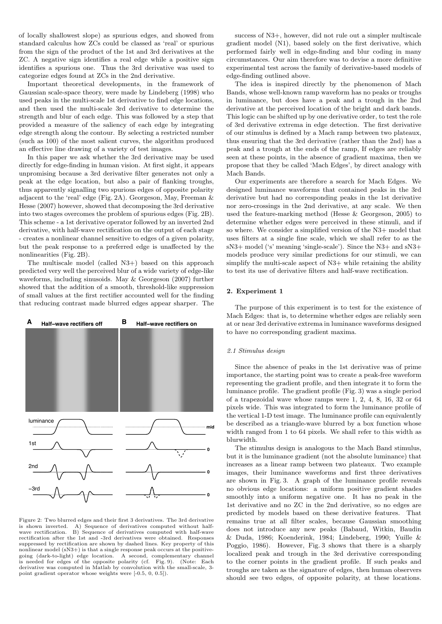of locally shallowest slope) as spurious edges, and showed from standard calculus how ZCs could be classed as 'real' or spurious from the sign of the product of the 1st and 3rd derivatives at the ZC. A negative sign identifies a real edge while a positive sign identifies a spurious one. Thus the 3rd derivative was used to categorize edges found at ZCs in the 2nd derivative.

Important theoretical developments, in the framework of Gaussian scale-space theory, were made by Lindeberg (1998) who used peaks in the multi-scale 1st derivative to find edge locations, and then used the multi-scale 3rd derivative to determine the strength and blur of each edge. This was followed by a step that provided a measure of the saliency of each edge by integrating edge strength along the contour. By selecting a restricted number (such as 100) of the most salient curves, the algorithm produced an effective line drawing of a variety of test images.

In this paper we ask whether the 3rd derivative may be used directly for edge-finding in human vision. At first sight, it appears unpromising because a 3rd derivative filter generates not only a peak at the edge location, but also a pair of flanking troughs, thus apparently signalling two spurious edges of opposite polarity adjacent to the 'real' edge (Fig. 2A). Georgeson, May, Freeman & Hesse (2007) however, showed that decomposing the 3rd derivative into two stages overcomes the problem of spurious edges (Fig. 2B). This scheme - a 1st derivative operator followed by an inverted 2nd derivative, with half-wave rectification on the output of each stage - creates a nonlinear channel sensitive to edges of a given polarity, but the peak response to a preferred edge is unaffected by the nonlinearities (Fig. 2B).

The multiscale model (called N3+) based on this approach predicted very well the perceived blur of a wide variety of edge-like waveforms, including sinusoids. May & Georgeson (2007) further showed that the addition of a smooth, threshold-like suppression of small values at the first rectifier accounted well for the finding that reducing contrast made blurred edges appear sharper. The



Figure 2: Two blurred edges and their first 3 derivatives. The 3rd derivative is shown inverted. A) Sequence of derivatives computed without half-B) Sequence of derivatives computed with half-wave rectification after the 1st and -3rd derivatives were obtained. Responses suppressed by rectification are shown by dashed lines. Key property of this nonlinear model (sN3+) is that a single response peak occurs at the positive-<br>going (dark-to-light) edge location. A second, complementary channel<br>is needed for edges of the opposite polarity (cf. Fig. 9). (Note: Each derivative was computed in Matlab by convolution with the small-scale, 3 point gradient operator whose weights were [-0.5, 0, 0.5]).

success of N3+, however, did not rule out a simpler multiscale gradient model (N1), based solely on the first derivative, which performed fairly well in edge-finding and blur coding in many circumstances. Our aim therefore was to devise a more definitive experimental test across the family of derivative-based models of edge-finding outlined above.

The idea is inspired directly by the phenomenon of Mach Bands, whose well-known ramp waveform has no peaks or troughs in luminance, but does have a peak and a trough in the 2nd derivative at the perceived location of the bright and dark bands. This logic can be shifted up by one derivative order, to test the role of 3rd derivative extrema in edge detection. The first derivative of our stimulus is defined by a Mach ramp between two plateaux, thus ensuring that the 3rd derivative (rather than the 2nd) has a peak and a trough at the ends of the ramp, If edges are reliably seen at these points, in the absence of gradient maxima, then we propose that they be called 'Mach Edges', by direct analogy with Mach Bands.

Our experiments are therefore a search for Mach Edges. We designed luminance waveforms that contained peaks in the 3rd derivative but had no corresponding peaks in the 1st derivative nor zero-crossings in the 2nd derivative, at any scale. We then used the feature-marking method (Hesse & Georgeson, 2005) to determine whether edges were perceived in these stimuli, and if so where. We consider a simplified version of the N3+ model that uses filters at a single fine scale, which we shall refer to as the sN3+ model ('s' meaning 'single-scale'). Since the N3+ and sN3+ models produce very similar predictions for our stimuli, we can simplify the multi-scale aspect of N3+ while retaining the ability to test its use of derivative filters and half-wave rectification.

### 2. Experiment 1

The purpose of this experiment is to test for the existence of Mach Edges: that is, to determine whether edges are reliably seen at or near 3rd derivative extrema in luminance waveforms designed to have no corresponding gradient maxima.

#### 2.1 Stimulus design

Since the absence of peaks in the 1st derivative was of prime importance, the starting point was to create a peak-free waveform representing the gradient profile, and then integrate it to form the luminance profile. The gradient profile (Fig. 3) was a single period of a trapezoidal wave whose ramps were 1, 2, 4, 8, 16, 32 or 64 pixels wide. This was integrated to form the luminance profile of the vertical 1-D test image. The luminance profile can equivalently be described as a triangle-wave blurred by a box function whose width ranged from 1 to 64 pixels. We shall refer to this width as blurwidth.

The stimulus design is analogous to the Mach Band stimulus, but it is the luminance gradient (not the absolute luminance) that increases as a linear ramp between two plateaux. Two example images, their luminance waveforms and first three derivatives are shown in Fig. 3. A graph of the luminance profile reveals no obvious edge locations: a uniform positive gradient shades smoothly into a uniform negative one. It has no peak in the 1st derivative and no ZC in the 2nd derivative, so no edges are predicted by models based on these derivative features. That remains true at all filter scales, because Gaussian smoothing does not introduce any new peaks (Babaud, Witkin, Baudin & Duda, 1986; Koenderink, 1984; Lindeberg, 1990; Yuille & Poggio, 1986). However, Fig. 3 shows that there is a sharply localized peak and trough in the 3rd derivative corresponding to the corner points in the gradient profile. If such peaks and troughs are taken as the signature of edges, then human observers should see two edges, of opposite polarity, at these locations.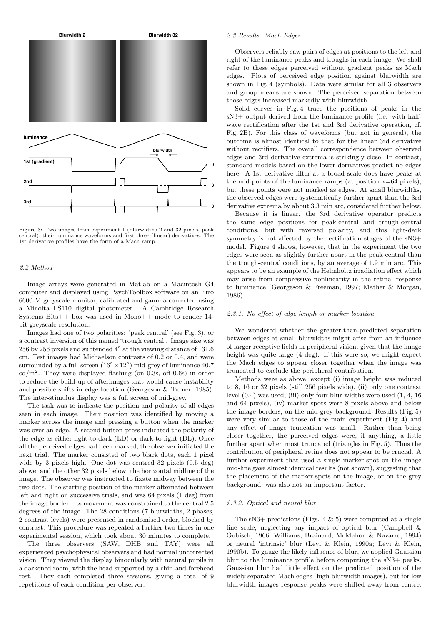

Figure 3: Two images from experiment 1 (blurwidths 2 and 32 pixels, peak central), their luminance waveforms and first three (linear) derivatives. The 1st derivative profiles have the form of a Mach ramp.

#### 2.2 Method

Image arrays were generated in Matlab on a Macintosh G4 computer and displayed using PsychToolbox software on an Eizo 6600-M greyscale monitor, calibrated and gamma-corrected using a Minolta LS110 digital photometer. A Cambridge Research Systems Bits++ box was used in Mono++ mode to render 14 bit greyscale resolution.

Images had one of two polarities: 'peak central' (see Fig. 3), or a contrast inversion of this named 'trough central'. Image size was 256 by 256 pixels and subtended  $4^\circ$  at the viewing distance of 131.6 cm. Test images had Michaelson contrasts of 0.2 or 0.4, and were surrounded by a full-screen  $(16^{\circ} \times 12^{\circ})$  mid-grey of luminance 40.7  $\text{cd/m}^2$ . They were displayed flashing (on 0.3s, off 0.6s) in order to reduce the build-up of afterimages that would cause instability and possible shifts in edge location (Georgeson & Turner, 1985). The inter-stimulus display was a full screen of mid-grey.

The task was to indicate the position and polarity of all edges seen in each image. Their position was identified by moving a marker across the image and pressing a button when the marker was over an edge. A second button-press indicated the polarity of the edge as either light-to-dark (LD) or dark-to-light (DL). Once all the perceived edges had been marked, the observer initiated the next trial. The marker consisted of two black dots, each 1 pixel wide by 3 pixels high. One dot was centred 32 pixels (0.5 deg) above, and the other 32 pixels below, the horizontal midline of the image. The observer was instructed to fixate midway between the two dots. The starting position of the marker alternated between left and right on successive trials, and was 64 pixels (1 deg) from the image border. Its movement was constrained to the central 2.5 degrees of the image. The 28 conditions (7 blurwidths, 2 phases, 2 contrast levels) were presented in randomised order, blocked by contrast. This procedure was repeated a further two times in one experimental session, which took about 30 minutes to complete.

The three observers (SAW, DHB and TAY) were all experienced psychophysical observers and had normal uncorrected vision. They viewed the display binocularly with natural pupils in a darkened room, with the head supported by a chin-and-forehead rest. They each completed three sessions, giving a total of 9 repetitions of each condition per observer.

# 2.3 Results: Mach Edges

Observers reliably saw pairs of edges at positions to the left and right of the luminance peaks and troughs in each image. We shall refer to these edges perceived without gradient peaks as Mach edges. Plots of perceived edge position against blurwidth are shown in Fig. 4 (symbols). Data were similar for all 3 observers and group means are shown. The perceived separation between those edges increased markedly with blurwidth.

Solid curves in Fig. 4 trace the positions of peaks in the sN3+ output derived from the luminance profile (i.e. with halfwave rectification after the 1st and 3rd derivative operation, cf. Fig. 2B). For this class of waveforms (but not in general), the outcome is almost identical to that for the linear 3rd derivative without rectifiers. The overall correspondence between observed edges and 3rd derivative extrema is strikingly close. In contrast, standard models based on the lower derivatives predict no edges here. A 1st derivative filter at a broad scale does have peaks at the mid-points of the luminance ramps (at position  $x=64$  pixels), but these points were not marked as edges. At small blurwidths, the observed edges were systematically further apart than the 3rd derivative extrema by about 3.3 min arc, considered further below.

Because it is linear, the 3rd derivative operator predicts the same edge positions for peak-central and trough-central conditions, but with reversed polarity, and this light-dark symmetry is not affected by the rectification stages of the sN3+ model. Figure 4 shows, however, that in the experiment the two edges were seen as slightly further apart in the peak-central than the trough-central conditions, by an average of 1.9 min arc. This appears to be an example of the Helmholtz irradiation effect which may arise from compressive nonlinearity in the retinal response to luminance (Georgeson & Freeman, 1997; Mather & Morgan, 1986).

# 2.3.1. No effect of edge length or marker location

We wondered whether the greater-than-predicted separation between edges at small blurwidths might arise from an influence of larger receptive fields in peripheral vision, given that the image height was quite large  $(4 \text{ deg})$ . If this were so, we might expect the Mach edges to appear closer together when the image was truncated to exclude the peripheral contribution.

Methods were as above, except (i) image height was reduced to 8, 16 or 32 pixels (still 256 pixels wide), (ii) only one contrast level (0.4) was used, (iii) only four blur-widths were used (1, 4, 16 and 64 pixels), (iv) marker-spots were 8 pixels above and below the image borders, on the mid-grey background. Results (Fig. 5) were very similar to those of the main experiment (Fig. 4) and any effect of image truncation was small. Rather than being closer together, the perceived edges were, if anything, a little further apart when most truncated (triangles in Fig. 5). Thus the contribution of peripheral retina does not appear to be crucial. A further experiment that used a single marker-spot on the image mid-line gave almost identical results (not shown), suggesting that the placement of the marker-spots on the image, or on the grey background, was also not an important factor.

### 2.3.2. Optical and neural blur

The  $sN3+$  predictions (Figs. 4 & 5) were computed at a single fine scale, neglecting any impact of optical blur (Campbell & Gubisch, 1966; Williams, Brainard, McMahon & Navarro, 1994) or neural 'intrinsic' blur (Levi & Klein, 1990a; Levi & Klein, 1990b). To gauge the likely influence of blur, we applied Gaussian blur to the luminance profile before computing the sN3+ peaks. Gaussian blur had little effect on the predicted position of the widely separated Mach edges (high blurwidth images), but for low blurwidth images response peaks were shifted away from centre.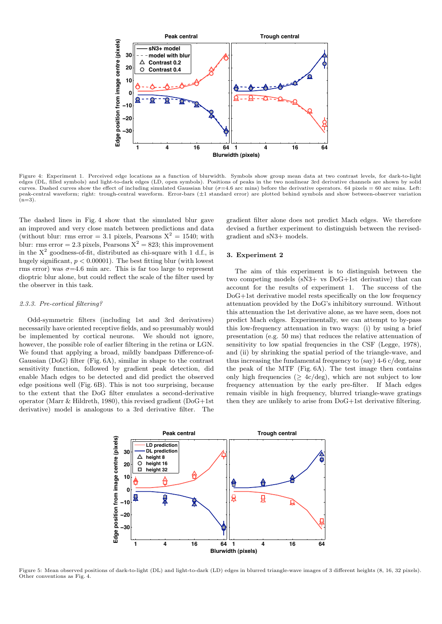

Figure 4: Experiment 1. Perceived edge locations as a function of blurwidth. Symbols show group mean data at two contrast levels, for dark-to-light edges (DL, filled symbols) and light-to-dark edges (LD, open symbols). Positions of peaks in the two nonlinear 3rd derivative channels are shown by solid curves. Dashed curves show the effect of including simulated Gaussian blur ( $\sigma$ =4.6 arc mins) before the derivative operators. 64 pixels = 60 arc mins. Left:<br>peak-central waveform; right: trough-central waveform. Error-ba  $(n=3)$ .

The dashed lines in Fig. 4 show that the simulated blur gave an improved and very close match between predictions and data (without blur: rms error = 3.1 pixels, Pearsons  $X^2 = 1540$ ; with blur: rms error = 2.3 pixels, Pearsons  $X^2 = 823$ ; this improvement in the  $X^2$  goodness-of-fit, distributed as chi-square with 1 d.f., is hugely significant,  $p < 0.00001$ ). The best fitting blur (with lowest rms error) was  $\sigma = 4.6$  min arc. This is far too large to represent dioptric blur alone, but could reflect the scale of the filter used by the observer in this task.

# 2.3.3. Pre-cortical filtering?

Odd-symmetric filters (including 1st and 3rd derivatives) necessarily have oriented receptive fields, and so presumably would be implemented by cortical neurons. We should not ignore, however, the possible role of earlier filtering in the retina or LGN. We found that applying a broad, mildly bandpass Difference-of-Gaussian (DoG) filter (Fig. 6A), similar in shape to the contrast sensitivity function, followed by gradient peak detection, did enable Mach edges to be detected and did predict the observed edge positions well (Fig. 6B). This is not too surprising, because to the extent that the DoG filter emulates a second-derivative operator (Marr & Hildreth, 1980), this revised gradient (DoG+1st derivative) model is analogous to a 3rd derivative filter. The gradient filter alone does not predict Mach edges. We therefore devised a further experiment to distinguish between the revisedgradient and sN3+ models.

#### 3. Experiment 2

The aim of this experiment is to distinguish between the two competing models (sN3+ vs DoG+1st derivative) that can account for the results of experiment 1. The success of the DoG+1st derivative model rests specifically on the low frequency attenuation provided by the DoG's inhibitory surround. Without this attenuation the 1st derivative alone, as we have seen, does not predict Mach edges. Experimentally, we can attempt to by-pass this low-frequency attenuation in two ways: (i) by using a brief presentation (e.g. 50 ms) that reduces the relative attenuation of sensitivity to low spatial frequencies in the CSF (Legge, 1978), and (ii) by shrinking the spatial period of the triangle-wave, and thus increasing the fundamental frequency to (say) 4-6 c/deg, near the peak of the MTF (Fig. 6A). The test image then contains only high frequencies ( $\geq$  4c/deg), which are not subject to low frequency attenuation by the early pre-filter. If Mach edges remain visible in high frequency, blurred triangle-wave gratings then they are unlikely to arise from DoG+1st derivative filtering.



Figure 5: Mean observed positions of dark-to-light (DL) and light-to-dark (LD) edges in blurred triangle-wave images of 3 different heights (8, 16, 32 pixels). Other conventions as Fig. 4.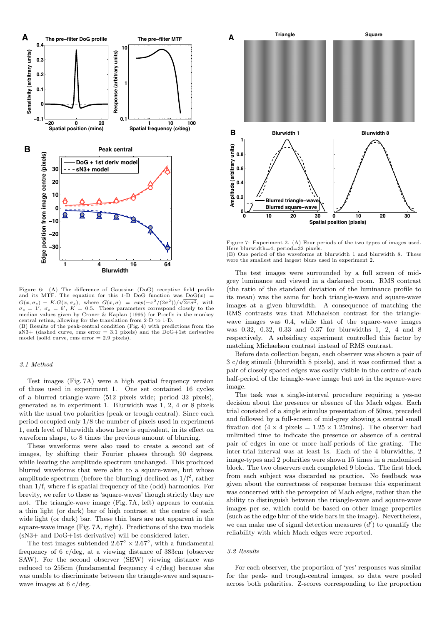

Figure 6: (A) The difference of Gaussian (DoG) receptive field profile and its MTF. The equation for this 1-D DoG function was  $DoG(x)$  =  $G(x, \sigma_c) - K.G(x, \sigma_s)$ , where  $G(x, \sigma) = exp(-x^2/(2\sigma^2))/\sqrt{2\pi\sigma^2}$ , with  $\sigma_c = 1'$ ,  $\sigma_s = 6'$ ,  $K = 0.5$ . These parameters correspond closely to the median values given by Croner & Kaplan (1995) for P-cells in the monkey central retina, allowing for the translation from 2-D to 1-D.

(B) Results of the peak-central condition (Fig. 4) with predictions from the  $sN3+$  (dashed curve, rms error = 3.1 pixels) and the DoG+1st derivative model (solid curve, rms  $error = 2.9$  pixels).

# 3.1 Method

Test images (Fig. 7A) were a high spatial frequency version of those used in experiment 1. One set contained 16 cycles of a blurred triangle-wave (512 pixels wide; period 32 pixels), generated as in experiment 1. Blurwidth was 1, 2, 4 or 8 pixels with the usual two polarities (peak or trough central). Since each period occupied only 1/8 the number of pixels used in experiment 1, each level of blurwidth shown here is equivalent, in its effect on waveform shape, to 8 times the previous amount of blurring.

These waveforms were also used to create a second set of images, by shifting their Fourier phases through 90 degrees, while leaving the amplitude spectrum unchanged. This produced blurred waveforms that were akin to a square-wave, but whose amplitude spectrum (before the blurring) declined as  $1/f^2$ , rather than 1/f, where f is spatial frequency of the (odd) harmonics. For brevity, we refer to these as 'square-waves' though strictly they are not. The triangle-wave image (Fig. 7A, left) appears to contain a thin light (or dark) bar of high contrast at the centre of each wide light (or dark) bar. These thin bars are not apparent in the square-wave image (Fig. 7A, right). Predictions of the two models (sN3+ and DoG+1st derivative) will be considered later.

The test images subtended  $2.67^{\circ} \times 2.67^{\circ}$ , with a fundamental frequency of 6 c/deg, at a viewing distance of 383cm (observer SAW). For the second observer (SEW) viewing distance was reduced to 255cm (fundamental frequency 4 c/deg) because she was unable to discriminate between the triangle-wave and squarewave images at 6 c/deg.



Figure 7: Experiment 2. (A) Four periods of the two types of images used. Here blurwidth=4, period=32 pixels. (B) One period of the waveforms at blurwidth 1 and blurwidth 8. These were the smallest and largest blurs used in experiment 2.

The test images were surrounded by a full screen of midgrey luminance and viewed in a darkened room. RMS contrast (the ratio of the standard deviation of the luminance profile to its mean) was the same for both triangle-wave and square-wave images at a given blurwidth. A consequence of matching the RMS contrasts was that Michaelson contrast for the trianglewave images was 0.4, while that of the square-wave images was 0.32, 0.32, 0.33 and 0.37 for blurwidths 1, 2, 4 and 8 respectively. A subsidiary experiment controlled this factor by matching Michaelson contrast instead of RMS contrast.

Before data collection began, each observer was shown a pair of 3 c/deg stimuli (blurwidth 8 pixels), and it was confirmed that a pair of closely spaced edges was easily visible in the centre of each half-period of the triangle-wave image but not in the square-wave image.

The task was a single-interval procedure requiring a yes-no decision about the presence or absence of the Mach edges. Each trial consisted of a single stimulus presentation of 50ms, preceded and followed by a full-screen of mid-grey showing a central small fixation dot  $(4 \times 4 \text{ pixels} = 1.25 \times 1.25 \text{ mins})$ . The observer had unlimited time to indicate the presence or absence of a central pair of edges in one or more half-periods of the grating. The inter-trial interval was at least 1s. Each of the 4 blurwidths, 2 image-types and 2 polarities were shown 15 times in a randomised block. The two observers each completed 9 blocks. The first block from each subject was discarded as practice. No feedback was given about the correctness of response because this experiment was concerned with the perception of Mach edges, rather than the ability to distinguish between the triangle-wave and square-wave images per se, which could be based on other image properties (such as the edge blur of the wide bars in the image). Nevertheless, we can make use of signal detection measures  $(d')$  to quantify the reliability with which Mach edges were reported.

#### 3.2 Results

For each observer, the proportion of 'yes' responses was similar for the peak- and trough-central images, so data were pooled across both polarities. Z-scores corresponding to the proportion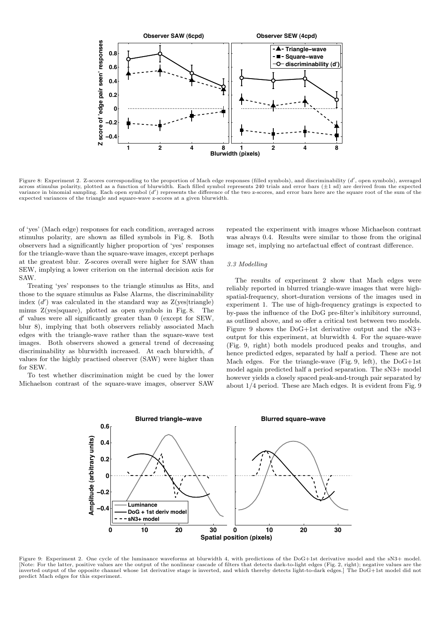

Figure 8: Experiment 2. Z-scores corresponding to the proportion of Mach edge responses (filled symbols), and discriminability (d', open symbols), averaged across stimulus polarity, plotted as a function of blurwidth. Each filled symbol represents 240 trials and error bars  $(\pm 1 \text{ sd})$  are derived from the expected variance in binomial sampling. Each open symbol (d') represents the difference of the two z-scores, and error bars here are the square root of the sum of the expected variances of the triangle and square-wave z-scores at a given blurwidth.

of 'yes' (Mach edge) responses for each condition, averaged across stimulus polarity, are shown as filled symbols in Fig. 8. Both observers had a significantly higher proportion of 'yes' responses for the triangle-wave than the square-wave images, except perhaps at the greatest blur. Z-scores overall were higher for SAW than SEW, implying a lower criterion on the internal decision axis for SAW.

Treating 'yes' responses to the triangle stimulus as Hits, and those to the square stimulus as False Alarms, the discriminability index  $(d')$  was calculated in the standard way as  $Z(yes|triangle)$ minus Z(yes|square), plotted as open symbols in Fig. 8. The d' values were all significantly greater than 0 (except for SEW, blur 8), implying that both observers reliably associated Mach edges with the triangle-wave rather than the square-wave test images. Both observers showed a general trend of decreasing discriminability as blurwidth increased. At each blurwidth,  $d'$ values for the highly practised observer (SAW) were higher than for SEW.

To test whether discrimination might be cued by the lower Michaelson contrast of the square-wave images, observer SAW repeated the experiment with images whose Michaelson contrast was always 0.4. Results were similar to those from the original image set, implying no artefactual effect of contrast difference.

# 3.3 Modelling

The results of experiment 2 show that Mach edges were reliably reported in blurred triangle-wave images that were highspatial-frequency, short-duration versions of the images used in experiment 1. The use of high-frequency gratings is expected to by-pass the influence of the DoG pre-filter's inhibitory surround, as outlined above, and so offer a critical test between two models. Figure 9 shows the DoG+1st derivative output and the sN3+ output for this experiment, at blurwidth 4. For the square-wave (Fig. 9, right) both models produced peaks and troughs, and hence predicted edges, separated by half a period. These are not Mach edges. For the triangle-wave (Fig. 9, left), the DoG+1st model again predicted half a period separation. The sN3+ model however yields a closely spaced peak-and-trough pair separated by about 1/4 period. These are Mach edges. It is evident from Fig. 9



Figure 9: Experiment 2. One cycle of the luminance waveforms at blurwidth 4, with predictions of the DoG+1st derivative model and the sN3+ model. [Note: For the latter, positive values are the output of the nonlinear cascade of filters that detects dark-to-light edges (Fig. 2, right); negative values are the inverted output of the opposite channel whose 1st derivative stage is inverted, and which thereby detects light-to-dark edges.] The DoG+1st model did not predict Mach edges for this experiment.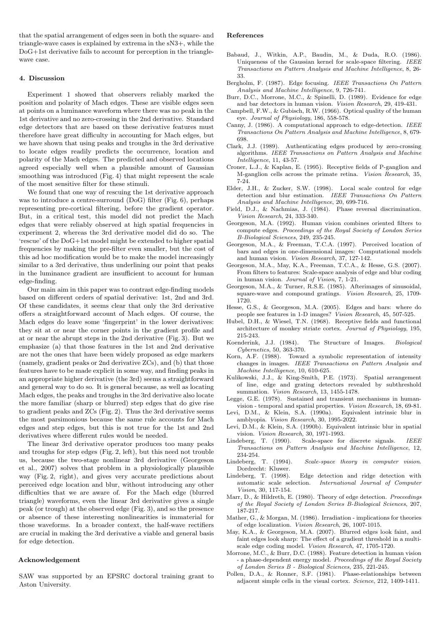that the spatial arrangement of edges seen in both the square- and triangle-wave cases is explained by extrema in the sN3+, while the DoG+1st derivative fails to account for perception in the trianglewave case.

#### 4. Discussion

Experiment 1 showed that observers reliably marked the position and polarity of Mach edges. These are visible edges seen at points on a luminance waveform where there was no peak in the 1st derivative and no zero-crossing in the 2nd derivative. Standard edge detectors that are based on these derivative features must therefore have great difficulty in accounting for Mach edges, but we have shown that using peaks and troughs in the 3rd derivative to locate edges readily predicts the occurrence, location and polarity of the Mach edges. The predicted and observed locations agreed especially well when a plausible amount of Gaussian smoothing was introduced (Fig. 4) that might represent the scale of the most sensitive filter for these stimuli.

We found that one way of rescuing the 1st derivative approach was to introduce a centre-surround (DoG) filter (Fig. 6), perhaps representing pre-cortical filtering, before the gradient operator. But, in a critical test, this model did not predict the Mach edges that were reliably observed at high spatial frequencies in experiment 2, whereas the 3rd derivative model did do so. The 'rescue' of the DoG+1st model might be extended to higher spatial frequencies by making the pre-filter even smaller, but the cost of this ad hoc modification would be to make the model increasingly similar to a 3rd derivative, thus underlining our point that peaks in the luminance gradient are insufficient to account for human edge-finding.

Our main aim in this paper was to contrast edge-finding models based on different orders of spatial derivative: 1st, 2nd and 3rd. Of these candidates, it seems clear that only the 3rd derivative offers a straightforward account of Mach edges. Of course, the Mach edges do leave some 'fingerprint' in the lower derivatives: they sit at or near the corner points in the gradient profile and at or near the abrupt steps in the 2nd derivative (Fig. 3). But we emphasize (a) that those features in the 1st and 2nd derivative are not the ones that have been widely proposed as edge markers (namely, gradient peaks or 2nd derivative ZCs), and (b) that those features have to be made explicit in some way, and finding peaks in an appropriate higher derivative (the 3rd) seems a straightforward and general way to do so. It is general because, as well as locating Mach edges, the peaks and troughs in the 3rd derivative also locate the more familiar (sharp or blurred) step edges that do give rise to gradient peaks and ZCs (Fig. 2). Thus the 3rd derivative seems the most parsimonious because the same rule accounts for Mach edges and step edges, but this is not true for the 1st and 2nd derivatives where different rules would be needed.

The linear 3rd derivative operator produces too many peaks and troughs for step edges (Fig. 2, left), but this need not trouble us, because the two-stage nonlinear 3rd derivative (Georgeson et al., 2007) solves that problem in a physiologically plausible way (Fig. 2, right), and gives very accurate predictions about perceived edge location and blur, without introducing any other difficulties that we are aware of. For the Mach edge (blurred triangle) waveforms, even the linear 3rd derivative gives a single peak (or trough) at the observed edge (Fig. 3), and so the presence or absence of these interesting nonlinearities is immaterial for those waveforms. In a broader context, the half-wave rectifiers are crucial in making the 3rd derivative a viable and general basis for edge detection.

#### Acknowledgement

SAW was supported by an EPSRC doctoral training grant to Aston University.

### References

- Babaud, J., Witkin, A.P., Baudin, M., & Duda, R.O. (1986). Uniqueness of the Gaussian kernel for scale-space filtering. IEEE Transactions on Pattern Analysis and Machine Intelligence, 8, 26- 33.
- Bergholm, F. (1987). Edge focusing. IEEE Transactions On Pattern Analysis and Machine Intelligence, 9, 726-741.
- Burr, D.C., Morrone, M.C., & Spinelli, D. (1989). Evidence for edge and bar detectors in human vision. Vision Research, 29, 419-431.
- Campbell, F.W., & Gubisch, R.W. (1966). Optical quality of the human eye. Journal of Physiology, 186, 558-578.
- Canny, J. (1986). A computational approach to edge-detection. IEEE Transactions On Pattern Analysis and Machine Intelligence, 8, 679- 698.
- Clark, J.J. (1989). Authenticating edges produced by zero-crossing algorithms. IEEE Transactions on Pattern Analysis and Machine Intelligence, 11, 43-57.
- Croner, L.J., & Kaplan, E. (1995). Receptive fields of P-ganglion and M-ganglion cells across the primate retina. Vision Research, 35, 7-24.
- Elder, J.H., & Zucker, S.W. (1998). Local scale control for edge detection and blur estimation. IEEE Transactions On Pattern Analysis and Machine Intelligence, 20, 699-716.
- Field, D.J., & Nachmias, J. (1984). Phase reversal discrimination. Vision Research, 24, 333-340.
- Georgeson, M.A. (1992). Human vision combines oriented filters to compute edges. Proceedings of the Royal Society of London Series B-Biological Sciences, 249, 235-245.
- Georgeson, M.A., & Freeman, T.C.A. (1997). Perceived location of bars and edges in one-dimensional images: Computational models and human vision. Vision Research, 37, 127-142.
- Georgeson, M.A., May, K.A., Freeman, T.C.A., & Hesse, G.S. (2007). From filters to features: Scale-space analysis of edge and blur coding in human vision. Journal of Vision, 7, 1-21.
- Georgeson, M.A., & Turner, R.S.E. (1985). Afterimages of sinusoidal, square-wave and compound gratings. Vision Research, 25, 1709- 1720.
- Hesse, G.S., & Georgeson, M.A. (2005). Edges and bars: where do people see features in 1-D images? Vision Research, 45, 507-525.
- Hubel, D.H., & Wiesel, T.N. (1968). Receptive fields and functional architecture of monkey striate cortex. Journal of Physiology, 195, 215-243.
- Koenderink, J.J. (1984). The Structure of Images. Biological Cybernetics, 50, 363-370.
- Korn, A.F. (1988). Toward a symbolic representation of intensity changes in images. IEEE Transactions on Pattern Analysis and Machine Intelligence, 10, 610-625.
- Kulikowski, J.J., & King-Smith, P.E. (1973). Spatial arrangement of line, edge and grating detectors revealed by subthreshold summation. Vision Research, 13, 1455-1478.
- Legge, G.E. (1978). Sustained and transient mechanisms in humanvision - temporal and spatial properties. Vision Research, 18, 69-81.
- Levi, D.M., & Klein, S.A. (1990a). Equivalent intrinsic blur in amblyopia. Vision Research, 30, 1995-2022.
- Levi, D.M., & Klein, S.A. (1990b). Equivalent intrinsic blur in spatial vision. Vision Research, 30, 1971-1993.
- Lindeberg, T. (1990). Scale-space for discrete signals. IEEE Transactions on Pattern Analysis and Machine Intelligence, 12, 234-254.
- Lindeberg, T. (1994). Scale-space theory in computer vision. Dordrecht: Kluwer.
- Lindeberg, T. (1998). Edge detection and ridge detection with automatic scale selection. International Journal of Computer Vision, 30, 117-154.
- Marr, D., & Hildreth, E. (1980). Theory of edge detection. Proceedings of the Royal Society of London Series B-Biological Sciences, 207, 187-217.
- Mather, G., & Morgan, M. (1986). Irradiation implications for theories of edge localization. Vision Research, 26, 1007-1015.
- May, K.A., & Georgeson, M.A. (2007). Blurred edges look faint, and faint edges look sharp: The effect of a gradient threshold in a multiscale edge coding model. Vision Research, 47, 1705-1720.
- Morrone, M.C., & Burr, D.C. (1988). Feature detection in human vision - a phase-dependent energy model. Proceedings of the Royal Society of London Series B - Biological Sciences, 235, 221-245.
- Pollen, D.A., & Ronner, S.F. (1981). Phase-relationships between adjacent simple cells in the visual cortex. Science, 212, 1409-1411.